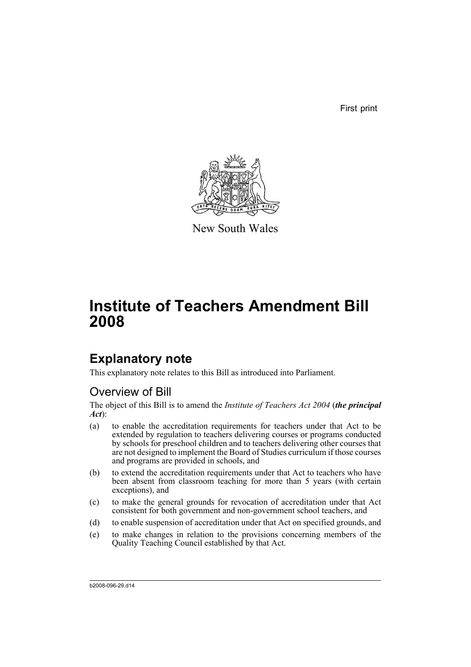First print



New South Wales

# **Institute of Teachers Amendment Bill 2008**

## **Explanatory note**

This explanatory note relates to this Bill as introduced into Parliament.

## Overview of Bill

The object of this Bill is to amend the *Institute of Teachers Act 2004* (*the principal Act*):

- (a) to enable the accreditation requirements for teachers under that Act to be extended by regulation to teachers delivering courses or programs conducted by schools for preschool children and to teachers delivering other courses that are not designed to implement the Board of Studies curriculum if those courses and programs are provided in schools, and
- (b) to extend the accreditation requirements under that Act to teachers who have been absent from classroom teaching for more than 5 years (with certain exceptions), and
- (c) to make the general grounds for revocation of accreditation under that Act consistent for both government and non-government school teachers, and
- (d) to enable suspension of accreditation under that Act on specified grounds, and
- (e) to make changes in relation to the provisions concerning members of the Quality Teaching Council established by that Act.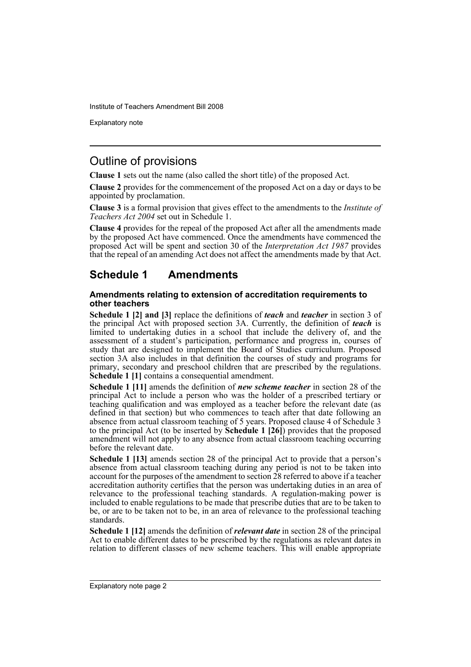Explanatory note

## Outline of provisions

**Clause 1** sets out the name (also called the short title) of the proposed Act.

**Clause 2** provides for the commencement of the proposed Act on a day or days to be appointed by proclamation.

**Clause 3** is a formal provision that gives effect to the amendments to the *Institute of Teachers Act 2004* set out in Schedule 1.

**Clause 4** provides for the repeal of the proposed Act after all the amendments made by the proposed Act have commenced. Once the amendments have commenced the proposed Act will be spent and section 30 of the *Interpretation Act 1987* provides that the repeal of an amending Act does not affect the amendments made by that Act.

## **Schedule 1 Amendments**

#### **Amendments relating to extension of accreditation requirements to other teachers**

**Schedule 1 [2] and [3]** replace the definitions of *teach* and *teacher* in section 3 of the principal Act with proposed section 3A. Currently, the definition of *teach* is limited to undertaking duties in a school that include the delivery of, and the assessment of a student's participation, performance and progress in, courses of study that are designed to implement the Board of Studies curriculum. Proposed section 3A also includes in that definition the courses of study and programs for primary, secondary and preschool children that are prescribed by the regulations. **Schedule 1 [1]** contains a consequential amendment.

**Schedule 1 [11]** amends the definition of *new scheme teacher* in section 28 of the principal Act to include a person who was the holder of a prescribed tertiary or teaching qualification and was employed as a teacher before the relevant date (as defined in that section) but who commences to teach after that date following an absence from actual classroom teaching of 5 years. Proposed clause 4 of Schedule 3 to the principal Act (to be inserted by **Schedule 1 [26]**) provides that the proposed amendment will not apply to any absence from actual classroom teaching occurring before the relevant date.

**Schedule 1 [13]** amends section 28 of the principal Act to provide that a person's absence from actual classroom teaching during any period is not to be taken into account for the purposes of the amendment to section 28 referred to above if a teacher accreditation authority certifies that the person was undertaking duties in an area of relevance to the professional teaching standards. A regulation-making power is included to enable regulations to be made that prescribe duties that are to be taken to be, or are to be taken not to be, in an area of relevance to the professional teaching standards.

**Schedule 1 [12]** amends the definition of *relevant date* in section 28 of the principal Act to enable different dates to be prescribed by the regulations as relevant dates in relation to different classes of new scheme teachers. This will enable appropriate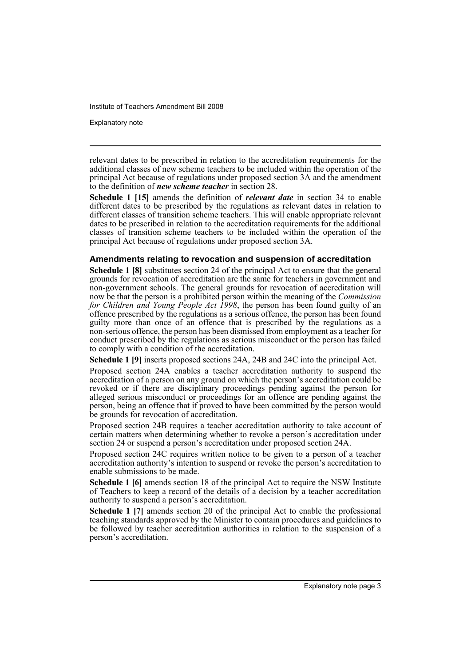Explanatory note

relevant dates to be prescribed in relation to the accreditation requirements for the additional classes of new scheme teachers to be included within the operation of the principal Act because of regulations under proposed section 3A and the amendment to the definition of *new scheme teacher* in section 28.

**Schedule 1 [15]** amends the definition of *relevant date* in section 34 to enable different dates to be prescribed by the regulations as relevant dates in relation to different classes of transition scheme teachers. This will enable appropriate relevant dates to be prescribed in relation to the accreditation requirements for the additional classes of transition scheme teachers to be included within the operation of the principal Act because of regulations under proposed section 3A.

#### **Amendments relating to revocation and suspension of accreditation**

**Schedule 1 [8]** substitutes section 24 of the principal Act to ensure that the general grounds for revocation of accreditation are the same for teachers in government and non-government schools. The general grounds for revocation of accreditation will now be that the person is a prohibited person within the meaning of the *Commission for Children and Young People Act 1998*, the person has been found guilty of an offence prescribed by the regulations as a serious offence, the person has been found guilty more than once of an offence that is prescribed by the regulations as a non-serious offence, the person has been dismissed from employment as a teacher for conduct prescribed by the regulations as serious misconduct or the person has failed to comply with a condition of the accreditation.

**Schedule 1 [9]** inserts proposed sections 24A, 24B and 24C into the principal Act.

Proposed section 24A enables a teacher accreditation authority to suspend the accreditation of a person on any ground on which the person's accreditation could be revoked or if there are disciplinary proceedings pending against the person for alleged serious misconduct or proceedings for an offence are pending against the person, being an offence that if proved to have been committed by the person would be grounds for revocation of accreditation.

Proposed section 24B requires a teacher accreditation authority to take account of certain matters when determining whether to revoke a person's accreditation under section 24 or suspend a person's accreditation under proposed section 24A.

Proposed section 24C requires written notice to be given to a person of a teacher accreditation authority's intention to suspend or revoke the person's accreditation to enable submissions to be made.

**Schedule 1 [6]** amends section 18 of the principal Act to require the NSW Institute of Teachers to keep a record of the details of  $\hat{a}$  decision by a teacher accreditation authority to suspend a person's accreditation.

**Schedule 1 [7]** amends section 20 of the principal Act to enable the professional teaching standards approved by the Minister to contain procedures and guidelines to be followed by teacher accreditation authorities in relation to the suspension of a person's accreditation.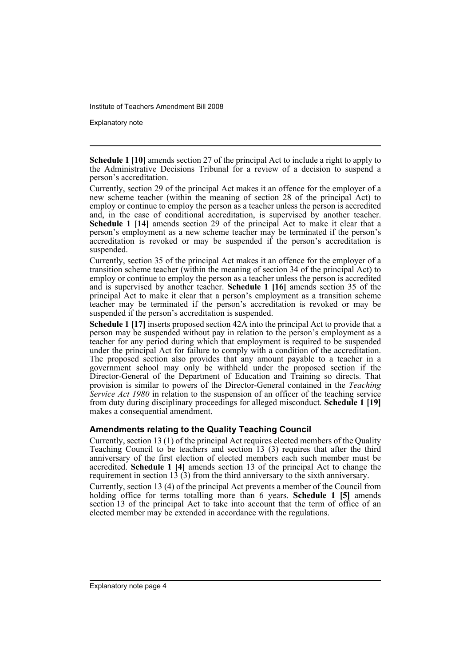Explanatory note

**Schedule 1 [10]** amends section 27 of the principal Act to include a right to apply to the Administrative Decisions Tribunal for a review of a decision to suspend a person's accreditation.

Currently, section 29 of the principal Act makes it an offence for the employer of a new scheme teacher (within the meaning of section 28 of the principal Act) to employ or continue to employ the person as a teacher unless the person is accredited and, in the case of conditional accreditation, is supervised by another teacher. **Schedule 1 [14]** amends section 29 of the principal Act to make it clear that a person's employment as a new scheme teacher may be terminated if the person's accreditation is revoked or may be suspended if the person's accreditation is suspended.

Currently, section 35 of the principal Act makes it an offence for the employer of a transition scheme teacher (within the meaning of section 34 of the principal Act) to employ or continue to employ the person as a teacher unless the person is accredited and is supervised by another teacher. **Schedule 1 [16]** amends section 35 of the principal Act to make it clear that a person's employment as a transition scheme teacher may be terminated if the person's accreditation is revoked or may be suspended if the person's accreditation is suspended.

**Schedule 1 [17]** inserts proposed section 42A into the principal Act to provide that a person may be suspended without pay in relation to the person's employment as a teacher for any period during which that employment is required to be suspended under the principal Act for failure to comply with a condition of the accreditation. The proposed section also provides that any amount payable to a teacher in a government school may only be withheld under the proposed section if the Director-General of the Department of Education and Training so directs. That provision is similar to powers of the Director-General contained in the *Teaching Service Act 1980* in relation to the suspension of an officer of the teaching service from duty during disciplinary proceedings for alleged misconduct. **Schedule 1 [19]** makes a consequential amendment.

#### **Amendments relating to the Quality Teaching Council**

Currently, section 13 (1) of the principal Act requires elected members of the Quality Teaching Council to be teachers and section 13 (3) requires that after the third anniversary of the first election of elected members each such member must be accredited. **Schedule 1 [4]** amends section 13 of the principal Act to change the requirement in section  $13(3)$  from the third anniversary to the sixth anniversary.

Currently, section 13 (4) of the principal Act prevents a member of the Council from holding office for terms totalling more than 6 years. **Schedule 1 [5]** amends section 13 of the principal Act to take into account that the term of office of an elected member may be extended in accordance with the regulations.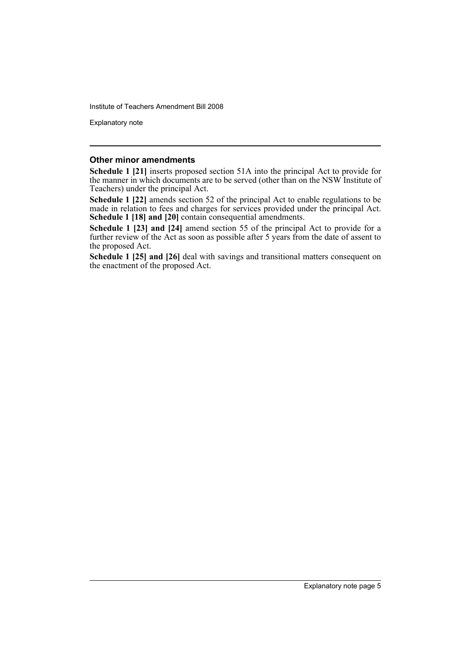Explanatory note

#### **Other minor amendments**

**Schedule 1 [21]** inserts proposed section 51A into the principal Act to provide for the manner in which documents are to be served (other than on the NSW Institute of Teachers) under the principal Act.

**Schedule 1 [22]** amends section 52 of the principal Act to enable regulations to be made in relation to fees and charges for services provided under the principal Act. **Schedule 1 [18] and [20]** contain consequential amendments.

**Schedule 1 [23] and [24]** amend section 55 of the principal Act to provide for a further review of the Act as soon as possible after 5 years from the date of assent to the proposed Act.

**Schedule 1 [25] and [26]** deal with savings and transitional matters consequent on the enactment of the proposed Act.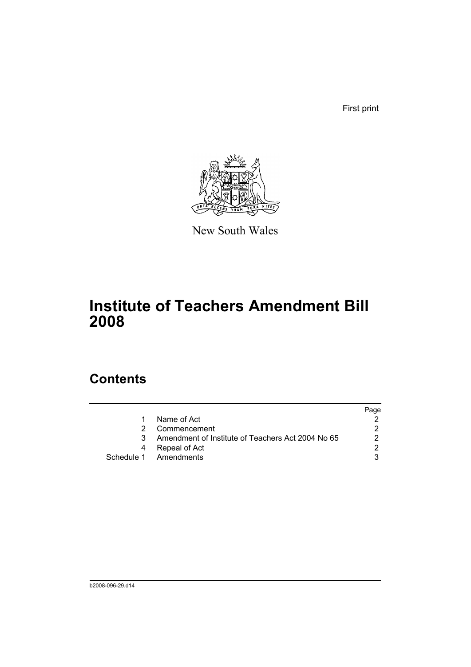First print



New South Wales

# **Institute of Teachers Amendment Bill 2008**

## **Contents**

|                                                   | Page |
|---------------------------------------------------|------|
| Name of Act                                       |      |
| Commencement                                      |      |
| Amendment of Institute of Teachers Act 2004 No 65 |      |
| Repeal of Act                                     |      |
| Schedule 1 Amendments                             | ີ    |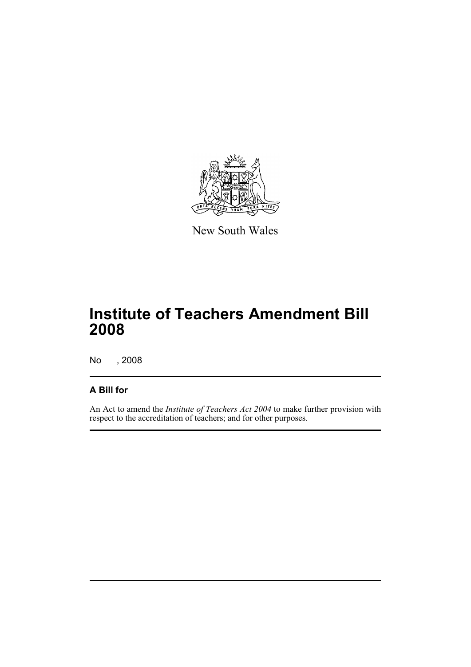

New South Wales

# **Institute of Teachers Amendment Bill 2008**

No , 2008

### **A Bill for**

An Act to amend the *Institute of Teachers Act 2004* to make further provision with respect to the accreditation of teachers; and for other purposes.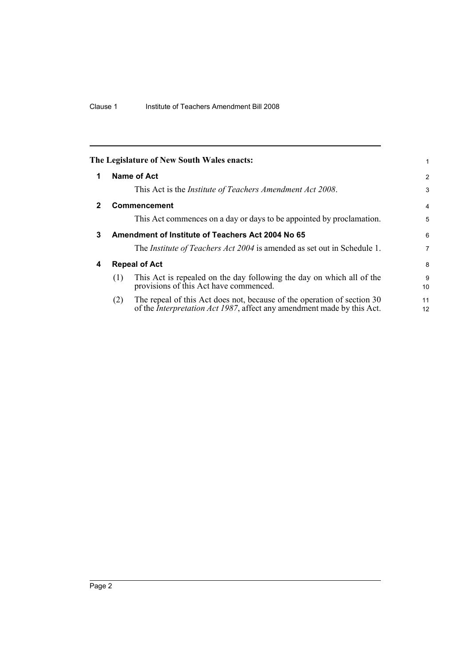<span id="page-9-3"></span><span id="page-9-2"></span><span id="page-9-1"></span><span id="page-9-0"></span>

|   | The Legislature of New South Wales enacts:                                                                                                                       |                |
|---|------------------------------------------------------------------------------------------------------------------------------------------------------------------|----------------|
| 1 | Name of Act                                                                                                                                                      | $\overline{2}$ |
|   | This Act is the Institute of Teachers Amendment Act 2008.                                                                                                        | 3              |
| 2 | <b>Commencement</b>                                                                                                                                              | 4              |
|   | This Act commences on a day or days to be appointed by proclamation.                                                                                             | 5              |
| 3 | Amendment of Institute of Teachers Act 2004 No 65                                                                                                                | 6              |
|   | The <i>Institute of Teachers Act 2004</i> is amended as set out in Schedule 1.                                                                                   | 7              |
| 4 | <b>Repeal of Act</b>                                                                                                                                             | 8              |
|   | This Act is repealed on the day following the day on which all of the<br>(1)<br>provisions of this Act have commenced.                                           | 9<br>10        |
|   | The repeal of this Act does not, because of the operation of section 30<br>(2)<br>of the <i>Interpretation Act 1987</i> , affect any amendment made by this Act. | 11<br>12       |
|   |                                                                                                                                                                  |                |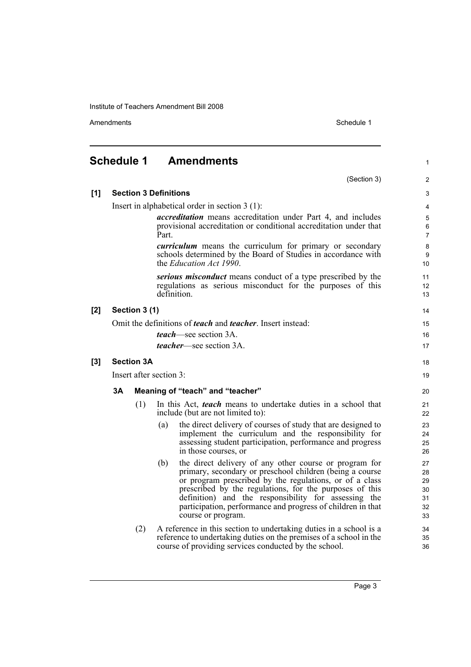Amendments Schedule 1

(Section 3)

1

2

<span id="page-10-0"></span>

| [1]   | <b>Section 3 Definitions</b>                                                                                                                                                                          |               |                                  |                                                                                                                                                                                                                                                                                                                                                                                       |                                        |  |  |  |
|-------|-------------------------------------------------------------------------------------------------------------------------------------------------------------------------------------------------------|---------------|----------------------------------|---------------------------------------------------------------------------------------------------------------------------------------------------------------------------------------------------------------------------------------------------------------------------------------------------------------------------------------------------------------------------------------|----------------------------------------|--|--|--|
|       | Insert in alphabetical order in section $3(1)$ :<br><i>accreditation</i> means accreditation under Part 4, and includes<br>provisional accreditation or conditional accreditation under that<br>Part. |               |                                  |                                                                                                                                                                                                                                                                                                                                                                                       |                                        |  |  |  |
|       |                                                                                                                                                                                                       |               |                                  |                                                                                                                                                                                                                                                                                                                                                                                       |                                        |  |  |  |
|       | <i>curriculum</i> means the curriculum for primary or secondary<br>schools determined by the Board of Studies in accordance with<br>the Education Act 1990.                                           |               |                                  |                                                                                                                                                                                                                                                                                                                                                                                       |                                        |  |  |  |
|       | serious misconduct means conduct of a type prescribed by the<br>regulations as serious misconduct for the purposes of this<br>definition.                                                             |               |                                  |                                                                                                                                                                                                                                                                                                                                                                                       |                                        |  |  |  |
| [2]   |                                                                                                                                                                                                       | Section 3 (1) |                                  |                                                                                                                                                                                                                                                                                                                                                                                       | 14                                     |  |  |  |
|       |                                                                                                                                                                                                       |               |                                  | Omit the definitions of <b><i>teach</i></b> and <b><i>teacher</i></b> . Insert instead:                                                                                                                                                                                                                                                                                               | 15                                     |  |  |  |
|       |                                                                                                                                                                                                       |               |                                  | <i>teach</i> —see section 3A.                                                                                                                                                                                                                                                                                                                                                         | 16                                     |  |  |  |
|       |                                                                                                                                                                                                       |               |                                  | <i>teacher</i> —see section 3A.                                                                                                                                                                                                                                                                                                                                                       | 17                                     |  |  |  |
| $[3]$ | <b>Section 3A</b>                                                                                                                                                                                     |               |                                  |                                                                                                                                                                                                                                                                                                                                                                                       |                                        |  |  |  |
|       | Insert after section 3:                                                                                                                                                                               |               |                                  |                                                                                                                                                                                                                                                                                                                                                                                       |                                        |  |  |  |
|       | 3A                                                                                                                                                                                                    |               | Meaning of "teach" and "teacher" |                                                                                                                                                                                                                                                                                                                                                                                       |                                        |  |  |  |
|       |                                                                                                                                                                                                       | (1)           |                                  | In this Act, <i>teach</i> means to undertake duties in a school that<br>include (but are not limited to):                                                                                                                                                                                                                                                                             | 21<br>22                               |  |  |  |
|       |                                                                                                                                                                                                       |               | (a)                              | the direct delivery of courses of study that are designed to<br>implement the curriculum and the responsibility for<br>assessing student participation, performance and progress<br>in those courses, or                                                                                                                                                                              | 23<br>24<br>25<br>26                   |  |  |  |
|       |                                                                                                                                                                                                       |               | (b)                              | the direct delivery of any other course or program for<br>primary, secondary or preschool children (being a course<br>or program prescribed by the regulations, or of a class<br>prescribed by the regulations, for the purposes of this<br>definition) and the responsibility for assessing the<br>participation, performance and progress of children in that<br>course or program. | 27<br>28<br>29<br>30<br>31<br>32<br>33 |  |  |  |
|       |                                                                                                                                                                                                       | (2)           |                                  | A reference in this section to undertaking duties in a school is a<br>reference to undertaking duties on the premises of a school in the<br>course of providing services conducted by the school.                                                                                                                                                                                     | 34<br>35<br>36                         |  |  |  |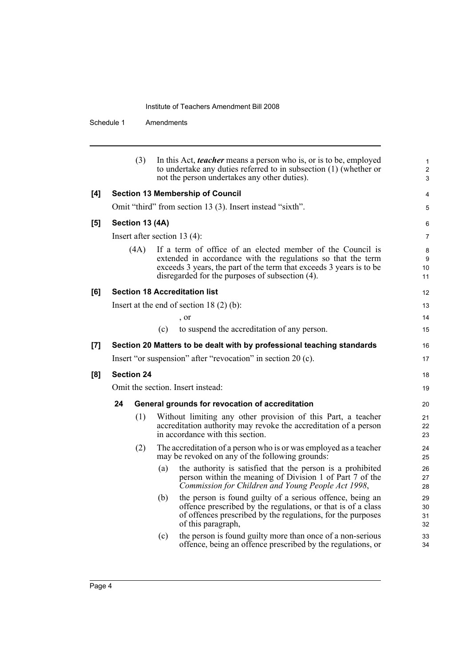|     |                                   | (3)  | In this Act, <i>teacher</i> means a person who is, or is to be, employed<br>to undertake any duties referred to in subsection (1) (whether or<br>not the person undertakes any other duties).                                                        | 1<br>$\overline{2}$<br>3 |  |  |  |  |
|-----|-----------------------------------|------|------------------------------------------------------------------------------------------------------------------------------------------------------------------------------------------------------------------------------------------------------|--------------------------|--|--|--|--|
| [4] |                                   |      | <b>Section 13 Membership of Council</b>                                                                                                                                                                                                              | $\overline{4}$           |  |  |  |  |
|     |                                   |      | Omit "third" from section 13 (3). Insert instead "sixth".                                                                                                                                                                                            | 5                        |  |  |  |  |
| [5] | Section 13 (4A)                   |      |                                                                                                                                                                                                                                                      | 6                        |  |  |  |  |
|     | Insert after section 13 $(4)$ :   |      |                                                                                                                                                                                                                                                      |                          |  |  |  |  |
|     |                                   | (4A) | If a term of office of an elected member of the Council is<br>extended in accordance with the regulations so that the term<br>exceeds 3 years, the part of the term that exceeds 3 years is to be<br>disregarded for the purposes of subsection (4). | 8<br>9<br>10<br>11       |  |  |  |  |
| [6] |                                   |      | <b>Section 18 Accreditation list</b>                                                                                                                                                                                                                 | 12                       |  |  |  |  |
|     |                                   |      | Insert at the end of section $18(2)(b)$ :                                                                                                                                                                                                            | 13                       |  |  |  |  |
|     |                                   |      | , or                                                                                                                                                                                                                                                 | 14                       |  |  |  |  |
|     |                                   |      | (c)<br>to suspend the accreditation of any person.                                                                                                                                                                                                   | 15                       |  |  |  |  |
| [7] |                                   |      | Section 20 Matters to be dealt with by professional teaching standards                                                                                                                                                                               | 16                       |  |  |  |  |
|     |                                   |      | Insert "or suspension" after "revocation" in section 20 (c).                                                                                                                                                                                         | 17                       |  |  |  |  |
| [8] | <b>Section 24</b>                 |      |                                                                                                                                                                                                                                                      |                          |  |  |  |  |
|     | Omit the section. Insert instead: |      |                                                                                                                                                                                                                                                      |                          |  |  |  |  |
|     | 24                                |      | General grounds for revocation of accreditation                                                                                                                                                                                                      | 20                       |  |  |  |  |
|     |                                   | (1)  | Without limiting any other provision of this Part, a teacher<br>accreditation authority may revoke the accreditation of a person<br>in accordance with this section.                                                                                 | 21<br>22<br>23           |  |  |  |  |
|     |                                   | (2)  | The accreditation of a person who is or was employed as a teacher<br>may be revoked on any of the following grounds:                                                                                                                                 | 24<br>25                 |  |  |  |  |
|     |                                   |      | the authority is satisfied that the person is a prohibited<br>(a)<br>person within the meaning of Division 1 of Part 7 of the<br>Commission for Children and Young People Act 1998,                                                                  | 26<br>27<br>28           |  |  |  |  |
|     |                                   |      | the person is found guilty of a serious offence, being an<br>(b)<br>offence prescribed by the regulations, or that is of a class<br>of offences prescribed by the regulations, for the purposes<br>of this paragraph,                                | 29<br>30<br>31<br>32     |  |  |  |  |
|     |                                   |      | the person is found guilty more than once of a non-serious<br>(c)<br>offence, being an offence prescribed by the regulations, or                                                                                                                     | 33<br>34                 |  |  |  |  |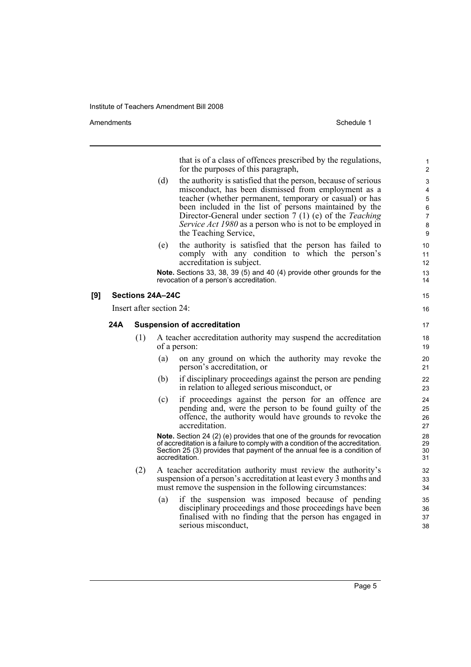Amendments **Amendments** Schedule 1

that is of a class of offences prescribed by the regulations, for the purposes of this paragraph,

- (d) the authority is satisfied that the person, because of serious misconduct, has been dismissed from employment as a teacher (whether permanent, temporary or casual) or has been included in the list of persons maintained by the Director-General under section 7 (1) (e) of the *Teaching Service Act 1980* as a person who is not to be employed in the Teaching Service,
- (e) the authority is satisfied that the person has failed to comply with any condition to which the person's accreditation is subject.

**Note.** Sections 33, 38, 39 (5) and 40 (4) provide other grounds for the revocation of a person's accreditation.

#### **[9] Sections 24A–24C**

Insert after section 24:

#### **24A Suspension of accreditation**

- (1) A teacher accreditation authority may suspend the accreditation of a person:
	- (a) on any ground on which the authority may revoke the person's accreditation, or
	- (b) if disciplinary proceedings against the person are pending in relation to alleged serious misconduct, or
	- (c) if proceedings against the person for an offence are pending and, were the person to be found guilty of the offence, the authority would have grounds to revoke the accreditation.

**Note.** Section 24 (2) (e) provides that one of the grounds for revocation of accreditation is a failure to comply with a condition of the accreditation. Section 25 (3) provides that payment of the annual fee is a condition of accreditation.

- (2) A teacher accreditation authority must review the authority's suspension of a person's accreditation at least every 3 months and must remove the suspension in the following circumstances:
	- (a) if the suspension was imposed because of pending disciplinary proceedings and those proceedings have been finalised with no finding that the person has engaged in serious misconduct,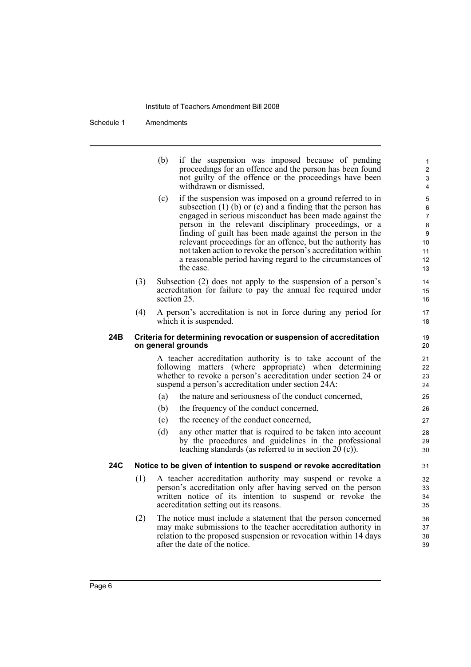|     |     | (b) | if the suspension was imposed because of pending<br>proceedings for an offence and the person has been found<br>not guilty of the offence or the proceedings have been<br>withdrawn or dismissed,                                                                                                                                                                                                                                                                                                                   | 1<br>2<br>3<br>4                              |
|-----|-----|-----|---------------------------------------------------------------------------------------------------------------------------------------------------------------------------------------------------------------------------------------------------------------------------------------------------------------------------------------------------------------------------------------------------------------------------------------------------------------------------------------------------------------------|-----------------------------------------------|
|     |     | (c) | if the suspension was imposed on a ground referred to in<br>subsection $(1)$ (b) or $(c)$ and a finding that the person has<br>engaged in serious misconduct has been made against the<br>person in the relevant disciplinary proceedings, or a<br>finding of guilt has been made against the person in the<br>relevant proceedings for an offence, but the authority has<br>not taken action to revoke the person's accreditation within<br>a reasonable period having regard to the circumstances of<br>the case. | 5<br>6<br>7<br>8<br>9<br>10<br>11<br>12<br>13 |
|     | (3) |     | Subsection (2) does not apply to the suspension of a person's<br>accreditation for failure to pay the annual fee required under<br>section 25.                                                                                                                                                                                                                                                                                                                                                                      | 14<br>15<br>16                                |
|     | (4) |     | A person's accreditation is not in force during any period for<br>which it is suspended.                                                                                                                                                                                                                                                                                                                                                                                                                            | 17<br>18                                      |
| 24B |     |     | Criteria for determining revocation or suspension of accreditation<br>on general grounds                                                                                                                                                                                                                                                                                                                                                                                                                            | 19<br>20                                      |
|     |     |     | A teacher accreditation authority is to take account of the<br>following matters (where appropriate) when determining<br>whether to revoke a person's accreditation under section 24 or<br>suspend a person's accreditation under section 24A:                                                                                                                                                                                                                                                                      | 21<br>22<br>23<br>24                          |
|     |     | (a) | the nature and seriousness of the conduct concerned,                                                                                                                                                                                                                                                                                                                                                                                                                                                                | 25                                            |
|     |     | (b) | the frequency of the conduct concerned,                                                                                                                                                                                                                                                                                                                                                                                                                                                                             | 26                                            |
|     |     | (c) | the recency of the conduct concerned,                                                                                                                                                                                                                                                                                                                                                                                                                                                                               | 27                                            |
|     |     | (d) | any other matter that is required to be taken into account<br>by the procedures and guidelines in the professional<br>teaching standards (as referred to in section $20$ (c)).                                                                                                                                                                                                                                                                                                                                      | 28<br>29<br>30                                |
| 24C |     |     | Notice to be given of intention to suspend or revoke accreditation                                                                                                                                                                                                                                                                                                                                                                                                                                                  | 31                                            |
|     | (1) |     | A teacher accreditation authority may suspend or revoke a<br>person's accreditation only after having served on the person<br>written notice of its intention to suspend or revoke the<br>accreditation setting out its reasons.                                                                                                                                                                                                                                                                                    | 32<br>33<br>34<br>35                          |
|     | (2) |     | The notice must include a statement that the person concerned<br>may make submissions to the teacher accreditation authority in<br>relation to the proposed suspension or revocation within 14 days<br>after the date of the notice.                                                                                                                                                                                                                                                                                | 36<br>37<br>38<br>39                          |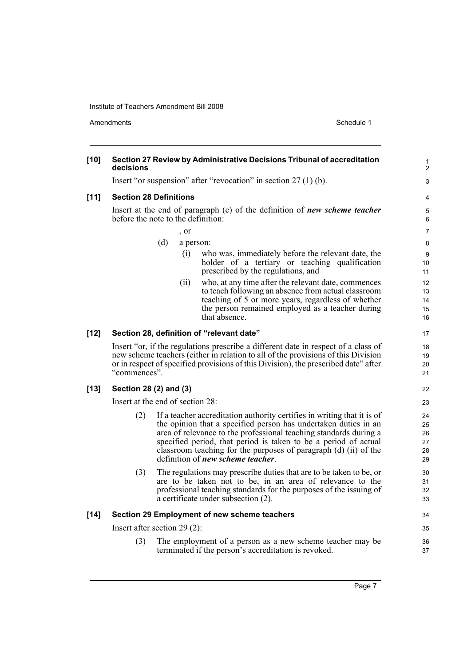Amendments Schedule 1

| $[10]$ | Section 27 Review by Administrative Decisions Tribunal of accreditation<br>decisions                                                                                                                                                                                                                                                                                                                       |                            |  |  |  |  |
|--------|------------------------------------------------------------------------------------------------------------------------------------------------------------------------------------------------------------------------------------------------------------------------------------------------------------------------------------------------------------------------------------------------------------|----------------------------|--|--|--|--|
|        | Insert "or suspension" after "revocation" in section $27(1)(b)$ .                                                                                                                                                                                                                                                                                                                                          |                            |  |  |  |  |
| $[11]$ | <b>Section 28 Definitions</b>                                                                                                                                                                                                                                                                                                                                                                              |                            |  |  |  |  |
|        | Insert at the end of paragraph (c) of the definition of new scheme teacher<br>before the note to the definition:                                                                                                                                                                                                                                                                                           | 5<br>6                     |  |  |  |  |
|        | $\cdot$ or                                                                                                                                                                                                                                                                                                                                                                                                 |                            |  |  |  |  |
|        | (d)<br>a person:                                                                                                                                                                                                                                                                                                                                                                                           | 8                          |  |  |  |  |
|        | who was, immediately before the relevant date, the<br>(i)<br>holder of a tertiary or teaching qualification<br>prescribed by the regulations, and                                                                                                                                                                                                                                                          | 9<br>10<br>11              |  |  |  |  |
|        | who, at any time after the relevant date, commences<br>(ii)<br>to teach following an absence from actual classroom<br>teaching of 5 or more years, regardless of whether<br>the person remained employed as a teacher during<br>that absence.                                                                                                                                                              | 12<br>13<br>14<br>15<br>16 |  |  |  |  |
| $[12]$ | Section 28, definition of "relevant date"                                                                                                                                                                                                                                                                                                                                                                  | 17                         |  |  |  |  |
|        | Insert "or, if the regulations prescribe a different date in respect of a class of<br>new scheme teachers (either in relation to all of the provisions of this Division<br>or in respect of specified provisions of this Division), the prescribed date" after<br>"commences".                                                                                                                             |                            |  |  |  |  |
| $[13]$ | Section 28 (2) and (3)                                                                                                                                                                                                                                                                                                                                                                                     |                            |  |  |  |  |
|        | Insert at the end of section 28:                                                                                                                                                                                                                                                                                                                                                                           |                            |  |  |  |  |
|        | (2)<br>If a teacher accreditation authority certifies in writing that it is of<br>the opinion that a specified person has undertaken duties in an<br>area of relevance to the professional teaching standards during a<br>specified period, that period is taken to be a period of actual<br>classroom teaching for the purposes of paragraph (d) (ii) of the<br>definition of <i>new scheme teacher</i> . |                            |  |  |  |  |
|        | The regulations may prescribe duties that are to be taken to be, or<br>(3)<br>are to be taken not to be, in an area of relevance to the<br>professional teaching standards for the purposes of the issuing of<br>a certificate under subsection (2).                                                                                                                                                       | 30<br>31<br>32<br>33       |  |  |  |  |
| $[14]$ | Section 29 Employment of new scheme teachers                                                                                                                                                                                                                                                                                                                                                               | 34                         |  |  |  |  |
|        | Insert after section 29 (2):                                                                                                                                                                                                                                                                                                                                                                               | 35                         |  |  |  |  |
|        | (3)<br>The employment of a person as a new scheme teacher may be<br>terminated if the person's accreditation is revoked.                                                                                                                                                                                                                                                                                   |                            |  |  |  |  |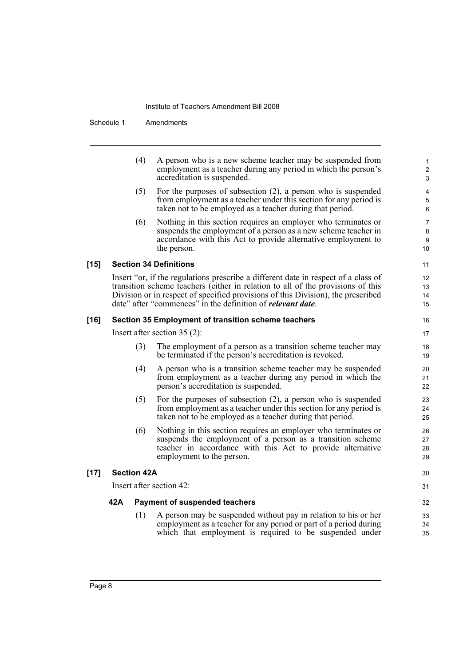|        |                    | (4) | A person who is a new scheme teacher may be suspended from<br>employment as a teacher during any period in which the person's<br>accreditation is suspended.                                                                                                                                                                     | 1<br>$\overline{\mathbf{c}}$<br>3 |
|--------|--------------------|-----|----------------------------------------------------------------------------------------------------------------------------------------------------------------------------------------------------------------------------------------------------------------------------------------------------------------------------------|-----------------------------------|
|        |                    | (5) | For the purposes of subsection $(2)$ , a person who is suspended<br>from employment as a teacher under this section for any period is<br>taken not to be employed as a teacher during that period.                                                                                                                               | 4<br>5<br>6                       |
|        |                    | (6) | Nothing in this section requires an employer who terminates or<br>suspends the employment of a person as a new scheme teacher in<br>accordance with this Act to provide alternative employment to<br>the person.                                                                                                                 | 7<br>8<br>9<br>10                 |
| $[15]$ |                    |     | <b>Section 34 Definitions</b>                                                                                                                                                                                                                                                                                                    | 11                                |
|        |                    |     | Insert "or, if the regulations prescribe a different date in respect of a class of<br>transition scheme teachers (either in relation to all of the provisions of this<br>Division or in respect of specified provisions of this Division), the prescribed<br>date" after "commences" in the definition of <i>relevant date</i> . | 12<br>13<br>14<br>15              |
| $[16]$ |                    |     | Section 35 Employment of transition scheme teachers                                                                                                                                                                                                                                                                              | 16                                |
|        |                    |     | Insert after section $35(2)$ :                                                                                                                                                                                                                                                                                                   | 17                                |
|        |                    | (3) | The employment of a person as a transition scheme teacher may<br>be terminated if the person's accreditation is revoked.                                                                                                                                                                                                         | 18<br>19                          |
|        |                    | (4) | A person who is a transition scheme teacher may be suspended<br>from employment as a teacher during any period in which the<br>person's accreditation is suspended.                                                                                                                                                              | 20<br>21<br>22                    |
|        |                    | (5) | For the purposes of subsection $(2)$ , a person who is suspended<br>from employment as a teacher under this section for any period is<br>taken not to be employed as a teacher during that period.                                                                                                                               | 23<br>24<br>25                    |
|        |                    | (6) | Nothing in this section requires an employer who terminates or<br>suspends the employment of a person as a transition scheme<br>teacher in accordance with this Act to provide alternative<br>employment to the person.                                                                                                          | 26<br>27<br>28<br>29              |
| $[17]$ | <b>Section 42A</b> |     |                                                                                                                                                                                                                                                                                                                                  | 30                                |
|        |                    |     | Insert after section 42:                                                                                                                                                                                                                                                                                                         | 31                                |
|        | 42A                |     | <b>Payment of suspended teachers</b>                                                                                                                                                                                                                                                                                             | 32                                |
|        |                    | (1) | A person may be suspended without pay in relation to his or her<br>employment as a teacher for any period or part of a period during<br>which that employment is required to be suspended under                                                                                                                                  | 33<br>34<br>35                    |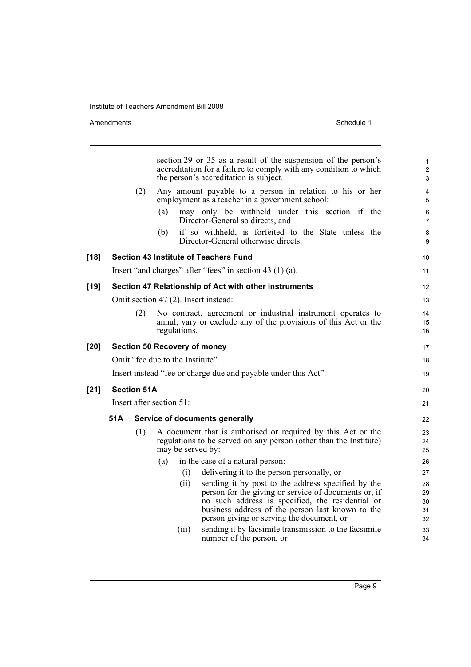Amendments Schedule 1

|        |                                     |                    | section 29 or 35 as a result of the suspension of the person's<br>accreditation for a failure to comply with any condition to which<br>the person's accreditation is subject.                                              | $\mathbf{1}$<br>$\mathbf{2}$<br>3 |  |
|--------|-------------------------------------|--------------------|----------------------------------------------------------------------------------------------------------------------------------------------------------------------------------------------------------------------------|-----------------------------------|--|
|        |                                     | (2)                | Any amount payable to a person in relation to his or her<br>employment as a teacher in a government school:                                                                                                                | 4<br>5                            |  |
|        |                                     |                    | may only be withheld under this section if the<br>(a)<br>Director-General so directs, and                                                                                                                                  | $\,6\,$<br>$\overline{7}$         |  |
|        |                                     |                    | if so withheld, is forfeited to the State unless the<br>(b)<br>Director-General otherwise directs.                                                                                                                         | 8<br>9                            |  |
| $[18]$ |                                     |                    | <b>Section 43 Institute of Teachers Fund</b>                                                                                                                                                                               | 10                                |  |
|        |                                     |                    | Insert "and charges" after "fees" in section 43 (1) (a).                                                                                                                                                                   | 11                                |  |
| [19]   |                                     |                    | Section 47 Relationship of Act with other instruments                                                                                                                                                                      | 12                                |  |
|        |                                     |                    | Omit section 47 (2). Insert instead:                                                                                                                                                                                       | 13                                |  |
|        |                                     | (2)                | No contract, agreement or industrial instrument operates to                                                                                                                                                                | 14                                |  |
|        |                                     |                    | annul, vary or exclude any of the provisions of this Act or the                                                                                                                                                            | 15                                |  |
|        |                                     |                    | regulations.                                                                                                                                                                                                               | 16                                |  |
| [20]   | <b>Section 50 Recovery of money</b> |                    |                                                                                                                                                                                                                            |                                   |  |
|        |                                     |                    | Omit "fee due to the Institute".                                                                                                                                                                                           | 18                                |  |
|        |                                     |                    | Insert instead "fee or charge due and payable under this Act".                                                                                                                                                             | 19                                |  |
| $[21]$ |                                     | <b>Section 51A</b> |                                                                                                                                                                                                                            | 20                                |  |
|        | Insert after section 51:            |                    |                                                                                                                                                                                                                            |                                   |  |
|        | 51A                                 |                    | Service of documents generally                                                                                                                                                                                             | 22                                |  |
|        |                                     | (1)                | A document that is authorised or required by this Act or the<br>regulations to be served on any person (other than the Institute)<br>may be served by:                                                                     | 23<br>24<br>25                    |  |
|        |                                     |                    | in the case of a natural person:<br>(a)                                                                                                                                                                                    | 26                                |  |
|        |                                     |                    | (i)<br>delivering it to the person personally, or                                                                                                                                                                          | 27                                |  |
|        |                                     |                    | (ii)<br>sending it by post to the address specified by the<br>person for the giving or service of documents or, if<br>no such address is specified, the residential or<br>business address of the person last known to the | 28<br>29<br>30<br>31              |  |
|        |                                     |                    | person giving or serving the document, or                                                                                                                                                                                  | 32                                |  |
|        |                                     |                    | sending it by facsimile transmission to the facsimile<br>(iii)<br>number of the person, or                                                                                                                                 | 33<br>34                          |  |
|        |                                     |                    |                                                                                                                                                                                                                            |                                   |  |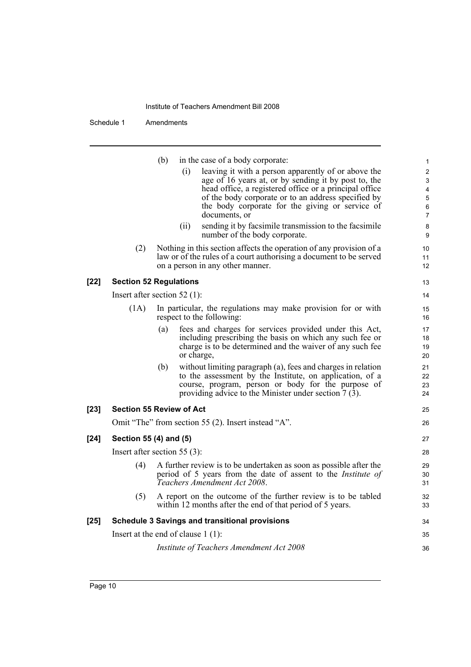|        |                                      | (b) |            | in the case of a body corporate:                                                                                           | $\mathbf{1}$              |
|--------|--------------------------------------|-----|------------|----------------------------------------------------------------------------------------------------------------------------|---------------------------|
|        |                                      |     | (i)        | leaving it with a person apparently of or above the                                                                        | $\sqrt{2}$                |
|        |                                      |     |            | age of 16 years at, or by sending it by post to, the                                                                       | $\ensuremath{\mathsf{3}}$ |
|        |                                      |     |            | head office, a registered office or a principal office                                                                     | 4                         |
|        |                                      |     |            | of the body corporate or to an address specified by<br>the body corporate for the giving or service of                     | $\mathbf 5$<br>6          |
|        |                                      |     |            | documents, or                                                                                                              | $\overline{7}$            |
|        |                                      |     | (ii)       | sending it by facsimile transmission to the facsimile<br>number of the body corporate.                                     | $\bf 8$<br>9              |
|        | (2)                                  |     |            | Nothing in this section affects the operation of any provision of a                                                        | 10                        |
|        |                                      |     |            | law or of the rules of a court authorising a document to be served<br>on a person in any other manner.                     | 11<br>12                  |
| [22]   | <b>Section 52 Regulations</b>        |     |            |                                                                                                                            | 13                        |
|        | Insert after section 52 $(1)$ :      |     |            |                                                                                                                            | 14                        |
|        | (1A)                                 |     |            | In particular, the regulations may make provision for or with                                                              | 15                        |
|        |                                      |     |            | respect to the following:                                                                                                  | 16                        |
|        |                                      | (a) |            | fees and charges for services provided under this Act,                                                                     | 17                        |
|        |                                      |     |            | including prescribing the basis on which any such fee or                                                                   | 18                        |
|        |                                      |     | or charge, | charge is to be determined and the waiver of any such fee                                                                  | 19<br>20                  |
|        |                                      | (b) |            | without limiting paragraph (a), fees and charges in relation                                                               | 21                        |
|        |                                      |     |            | to the assessment by the Institute, on application, of a                                                                   | 22                        |
|        |                                      |     |            | course, program, person or body for the purpose of<br>providing advice to the Minister under section 7 (3).                | 23<br>24                  |
| [23]   | <b>Section 55 Review of Act</b>      |     |            |                                                                                                                            | 25                        |
|        |                                      |     |            | Omit "The" from section 55 (2). Insert instead "A".                                                                        | 26                        |
| $[24]$ | Section 55 (4) and (5)               |     |            |                                                                                                                            | 27                        |
|        | Insert after section 55 $(3)$ :      |     |            |                                                                                                                            | 28                        |
|        | (4)                                  |     |            | A further review is to be undertaken as soon as possible after the                                                         | 29                        |
|        |                                      |     |            | period of 5 years from the date of assent to the <i>Institute of</i><br>Teachers Amendment Act 2008.                       | 30<br>31                  |
|        | (5)                                  |     |            | A report on the outcome of the further review is to be tabled<br>within 12 months after the end of that period of 5 years. | 32<br>33                  |
| [25]   |                                      |     |            | <b>Schedule 3 Savings and transitional provisions</b>                                                                      | 34                        |
|        | Insert at the end of clause $1(1)$ : |     |            |                                                                                                                            | 35                        |
|        |                                      |     |            | Institute of Teachers Amendment Act 2008                                                                                   | 36                        |
|        |                                      |     |            |                                                                                                                            |                           |